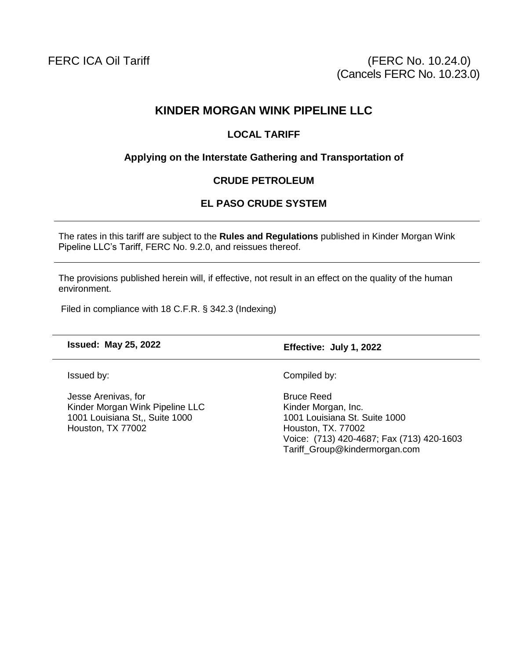# **KINDER MORGAN WINK PIPELINE LLC**

#### **LOCAL TARIFF**

## **Applying on the Interstate Gathering and Transportation of**

#### **CRUDE PETROLEUM**

## **EL PASO CRUDE SYSTEM**

The rates in this tariff are subject to the **Rules and Regulations** published in Kinder Morgan Wink Pipeline LLC's Tariff, FERC No. 9.2.0, and reissues thereof.

The provisions published herein will, if effective, not result in an effect on the quality of the human environment.

Filed in compliance with 18 C.F.R. § 342.3 (Indexing)

**Issued: May 25, 2022 Effective: July 1, 2022**

Issued by:

Jesse Arenivas, for Kinder Morgan Wink Pipeline LLC 1001 Louisiana St,, Suite 1000 Houston, TX 77002

Compiled by:

Bruce Reed Kinder Morgan, Inc. 1001 Louisiana St. Suite 1000 Houston, TX. 77002 Voice: (713) 420-4687; Fax (713) 420-1603 Tariff\_Group@kindermorgan.com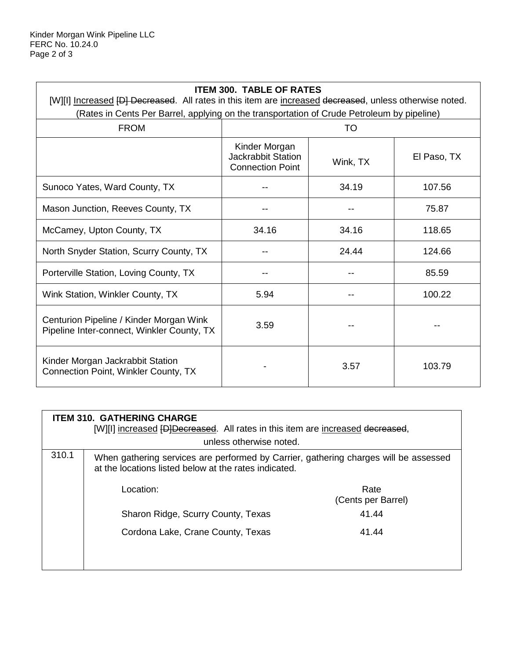| <b>ITEM 300. TABLE OF RATES</b>                                                                                                                                                                       |                                                                |          |             |  |  |
|-------------------------------------------------------------------------------------------------------------------------------------------------------------------------------------------------------|----------------------------------------------------------------|----------|-------------|--|--|
| [W][I] Increased [D] Decreased. All rates in this item are increased decreased, unless otherwise noted.<br>(Rates in Cents Per Barrel, applying on the transportation of Crude Petroleum by pipeline) |                                                                |          |             |  |  |
| <b>FROM</b>                                                                                                                                                                                           | TO                                                             |          |             |  |  |
|                                                                                                                                                                                                       | Kinder Morgan<br>Jackrabbit Station<br><b>Connection Point</b> | Wink, TX | El Paso, TX |  |  |
| Sunoco Yates, Ward County, TX                                                                                                                                                                         |                                                                | 34.19    | 107.56      |  |  |
| Mason Junction, Reeves County, TX                                                                                                                                                                     |                                                                |          | 75.87       |  |  |
| McCamey, Upton County, TX                                                                                                                                                                             | 34.16                                                          | 34.16    | 118.65      |  |  |
| North Snyder Station, Scurry County, TX                                                                                                                                                               |                                                                | 24.44    | 124.66      |  |  |
| Porterville Station, Loving County, TX                                                                                                                                                                |                                                                |          | 85.59       |  |  |
| Wink Station, Winkler County, TX                                                                                                                                                                      | 5.94                                                           |          | 100.22      |  |  |
| Centurion Pipeline / Kinder Morgan Wink<br>Pipeline Inter-connect, Winkler County, TX                                                                                                                 | 3.59                                                           |          |             |  |  |
| Kinder Morgan Jackrabbit Station<br>Connection Point, Winkler County, TX                                                                                                                              |                                                                | 3.57     | 103.79      |  |  |

| <b>ITEM 310. GATHERING CHARGE</b><br>[W][I] increased <del>[D]Decreased</del> . All rates in this item are increased decreased, |                                                                                                                                               |                            |  |  |
|---------------------------------------------------------------------------------------------------------------------------------|-----------------------------------------------------------------------------------------------------------------------------------------------|----------------------------|--|--|
| unless otherwise noted.                                                                                                         |                                                                                                                                               |                            |  |  |
| 310.1                                                                                                                           | When gathering services are performed by Carrier, gathering charges will be assessed<br>at the locations listed below at the rates indicated. |                            |  |  |
|                                                                                                                                 | Location:                                                                                                                                     | Rate<br>(Cents per Barrel) |  |  |
|                                                                                                                                 | Sharon Ridge, Scurry County, Texas                                                                                                            | 41.44                      |  |  |
|                                                                                                                                 | Cordona Lake, Crane County, Texas                                                                                                             | 41.44                      |  |  |
|                                                                                                                                 |                                                                                                                                               |                            |  |  |